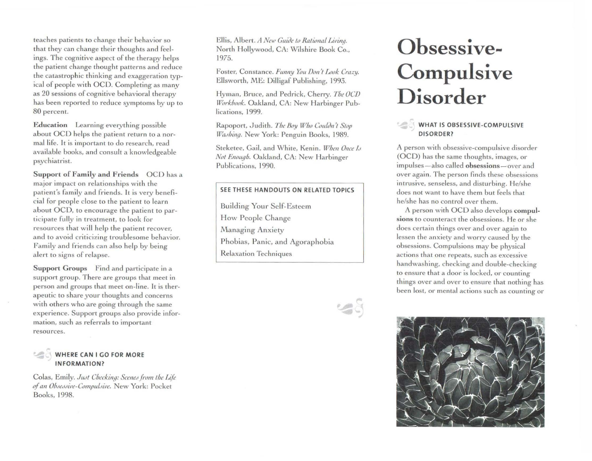teaches patients to change their behavior so that they can change their thoughts and feelings. The cognitive aspect of the therapy helps the patient change thought patterns and reduce the catastrophic thinking and exaggeration typical of people with OCD. Completing as many as 20 sessions of cognitive behavioral therapy has been reported to reduce symptoms by up to 80 percent.

**Education** Learning everything possible about OCD helps the patient return to a normal life. It is important to do research, read available books, and consult a knowledgeable psychiatrist.

**Support of Family and Friends** OCD has a major impact on relationships with the patient's family and friends. It is very beneficial for people close to the patient to learn about OCD, to encourage the patient to participate fully in treatment, to look for resources that will help the patient recover, and to avoid criticizing troublesome behavior. Family and friends can also help by being alert to signs of relapse.

**Support Groups** Find and participate in a support group. There are groups that meet in person and groups that meet on-line. It is therapeutic to share your thoughts and concerns with others who are going through the same experience. Support groups also provide information, such as referrals to important resources.

## **WHERE CAN I GO FOR MORE IN FORMATION?**

Colas, Emily. *Just Checking: Scenes from the Life ofan Oh.1e,1,,il'e-Gomp11/..1iPe.* New York: Pocket Books, 1998.

Ellis, Albert. *A New Guide to Rational Living.* North Hollywood, CA: Wilshire Book Co., 1975.

Foster, Constance. *Funny You Don't Look Crazy*. Ellsworth, ME: Dilligaf Publishing, 1993.

Hyman, Bruce, and Pedrick, Cherry. *The OCD lf/orkhook.* Oakland, CA: New Harbinger Publications, 1999.

Rapoport, Judith. *The Boy Who Couldn't Stop* Washing. New York: Penguin Books, 1989.

Steketee, Gail, and White, Kenin. *When Once Is Not Enough.* Oakland, CA: New Harbinger Publications, 1990.

### **SEE THESE HANDOUTS ON RELATED TOPICS**

Building Your Self-Esteem How People Change Managing Anxiety Phobias, Panic, and Agoraphobia Relaxation Techniques



# **Obsessive-Compulsive Disorder**

# **WHAT IS OBSESSIVE-COMPULSIVE**<br>DISORDER?

A person with obsessive-compulsive disorder (OCD) has the same thoughts, images, or impulses-also called **obsessions-over** and over again. The person finds these obsessions intrusive, senseless, and disturbing. He/she does not want to have them but feels that he/she has no control over them.

A person with OCD also develops compul**sions** to counteract the obsessions. He or she does certain things over and over again to lessen the anxiety and worry caused by the obsessions. Compulsions may be physical actions that one repeats, such as excessive handwashing, checking and double-checking to ensure that a door is locked, or counting things over and over to ensure that nothing has been lost, or mental actions such as counting or